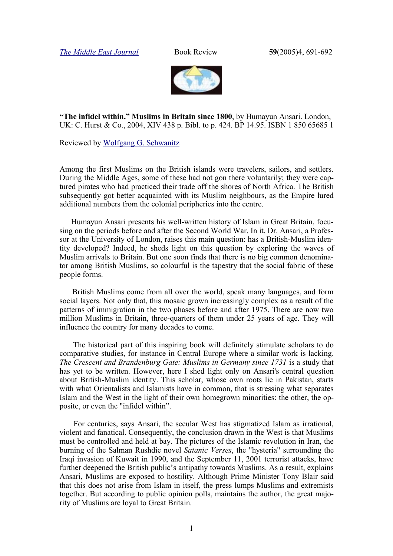*[The Middle East Journal](http://www.mideasti.org/programs/programs_journal.html)* Book Review **59**(2005)4, 691-692



**"The infidel within." Muslims in Britain since 1800**, by Humayun Ansari. London, UK: C. Hurst & Co., 2004, XIV 438 p. Bibl. to p. 424. BP 14.95. ISBN 1 850 65685 1

Reviewed by [Wolfgang G. Schwanitz](http://www.trafoberlin.de/Autoren/schwanitz_wolfgang.htm)

Among the first Muslims on the British islands were travelers, sailors, and settlers. During the Middle Ages, some of these had not gon there voluntarily; they were captured pirates who had practiced their trade off the shores of North Africa. The British subsequently got better acquainted with its Muslim neighbours, as the Empire lured additional numbers from the colonial peripheries into the centre.

Humayun Ansari presents his well-written history of Islam in Great Britain, focusing on the periods before and after the Second World War. In it, Dr. Ansari, a Professor at the University of London, raises this main question: has a British-Muslim identity developed? Indeed, he sheds light on this question by exploring the waves of Muslim arrivals to Britain. But one soon finds that there is no big common denominator among British Muslims, so colourful is the tapestry that the social fabric of these people forms.

British Muslims come from all over the world, speak many languages, and form social layers. Not only that, this mosaic grown increasingly complex as a result of the patterns of immigration in the two phases before and after 1975. There are now two million Muslims in Britain, three-quarters of them under 25 years of age. They will influence the country for many decades to come.

The historical part of this inspiring book will definitely stimulate scholars to do comparative studies, for instance in Central Europe where a similar work is lacking. *The Crescent and Brandenburg Gate: Muslims in Germany since 1731* is a study that has yet to be written. However, here I shed light only on Ansari's central question about British-Muslim identity. This scholar, whose own roots lie in Pakistan, starts with what Orientalists and Islamists have in common, that is stressing what separates Islam and the West in the light of their own homegrown minorities: the other, the opposite, or even the "infidel within".

For centuries, says Ansari, the secular West has stigmatized Islam as irrational, violent and fanatical. Consequently, the conclusion drawn in the West is that Muslims must be controlled and held at bay. The pictures of the Islamic revolution in Iran, the burning of the Salman Rushdie novel *Satanic Verses*, the "hysteria" surrounding the Iraqi invasion of Kuwait in 1990, and the September 11, 2001 terrorist attacks, have further deepened the British public's antipathy towards Muslims. As a result, explains Ansari, Muslims are exposed to hostility. Although Prime Minister Tony Blair said that this does not arise from Islam in itself, the press lumps Muslims and extremists together. But according to public opinion polls, maintains the author, the great majority of Muslims are loyal to Great Britain.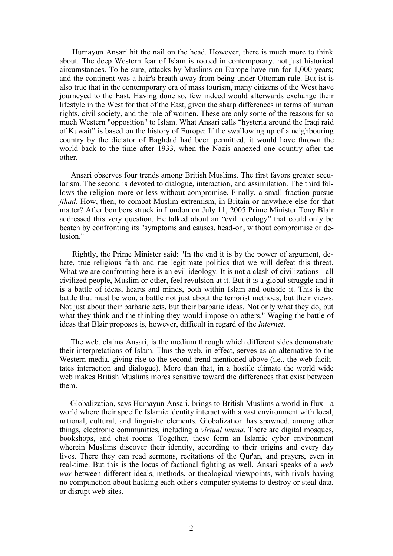Humayun Ansari hit the nail on the head. However, there is much more to think about. The deep Western fear of Islam is rooted in contemporary, not just historical circumstances. To be sure, attacks by Muslims on Europe have run for 1,000 years; and the continent was a hair's breath away from being under Ottoman rule. But ist is also true that in the contemporary era of mass tourism, many citizens of the West have journeyed to the East. Having done so, few indeed would afterwards exchange their lifestyle in the West for that of the East, given the sharp differences in terms of human rights, civil society, and the role of women. These are only some of the reasons for so much Western "opposition" to Islam. What Ansari calls "hysteria around the Iraqi raid of Kuwait" is based on the history of Europe: If the swallowing up of a neighbouring country by the dictator of Baghdad had been permitted, it would have thrown the world back to the time after 1933, when the Nazis annexed one country after the other.

Ansari observes four trends among British Muslims. The first favors greater secularism. The second is devoted to dialogue, interaction, and assimilation. The third follows the religion more or less without compromise. Finally, a small fraction pursue *jihad*. How, then, to combat Muslim extremism, in Britain or anywhere else for that matter? After bombers struck in London on July 11, 2005 Prime Minister Tony Blair addressed this very question. He talked about an "evil ideology" that could only be beaten by confronting its "symptoms and causes, head-on, without compromise or delusion<sup>"</sup>

Rightly, the Prime Minister said: "In the end it is by the power of argument, debate, true religious faith and rue legitimate politics that we will defeat this threat. What we are confronting here is an evil ideology. It is not a clash of civilizations - all civilized people, Muslim or other, feel revulsion at it. But it is a global struggle and it is a battle of ideas, hearts and minds, both within Islam and outside it. This is the battle that must be won, a battle not just about the terrorist methods, but their views. Not just about their barbaric acts, but their barbaric ideas. Not only what they do, but what they think and the thinking they would impose on others." Waging the battle of ideas that Blair proposes is, however, difficult in regard of the *Internet*.

The web, claims Ansari, is the medium through which different sides demonstrate their interpretations of Islam. Thus the web, in effect, serves as an alternative to the Western media, giving rise to the second trend mentioned above (i.e., the web facilitates interaction and dialogue). More than that, in a hostile climate the world wide web makes British Muslims mores sensitive toward the differences that exist between them.

Globalization, says Humayun Ansari, brings to British Muslims a world in flux - a world where their specific Islamic identity interact with a vast environment with local, national, cultural, and linguistic elements. Globalization has spawned, among other things, electronic communities, including a *virtual umma.* There are digital mosques, bookshops, and chat rooms. Together, these form an Islamic cyber environment wherein Muslims discover their identity, according to their origins and every day lives. There they can read sermons, recitations of the Qur'an, and prayers, even in real-time. But this is the locus of factional fighting as well. Ansari speaks of a *web war* between different ideals, methods, or theological viewpoints, with rivals having no compunction about hacking each other's computer systems to destroy or steal data, or disrupt web sites.